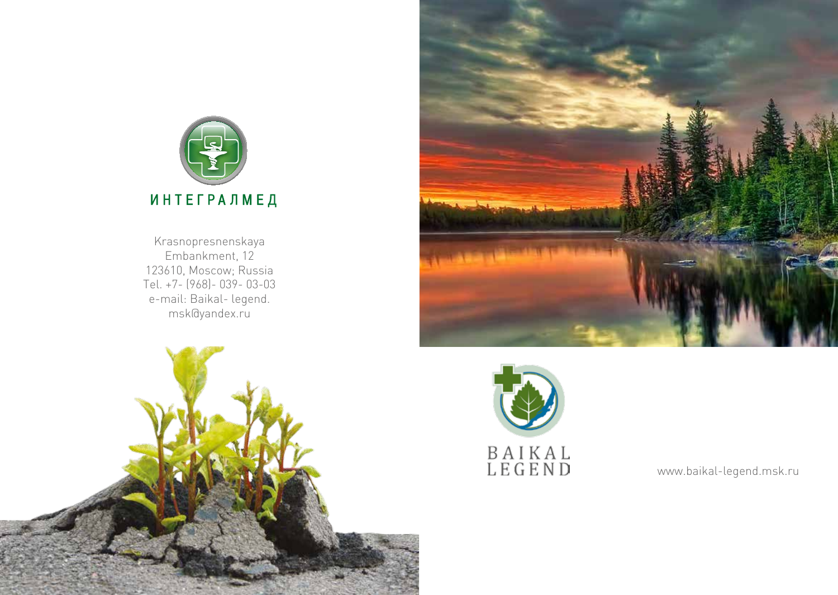

Krasnopresnenskaya Embankment, 12 123610, Moscow; Russia Tel. +7- (968)- 039- 03-03 e-mail: Baikal- legend. msk@yandex.ru







www.baikal-legend.msk.ru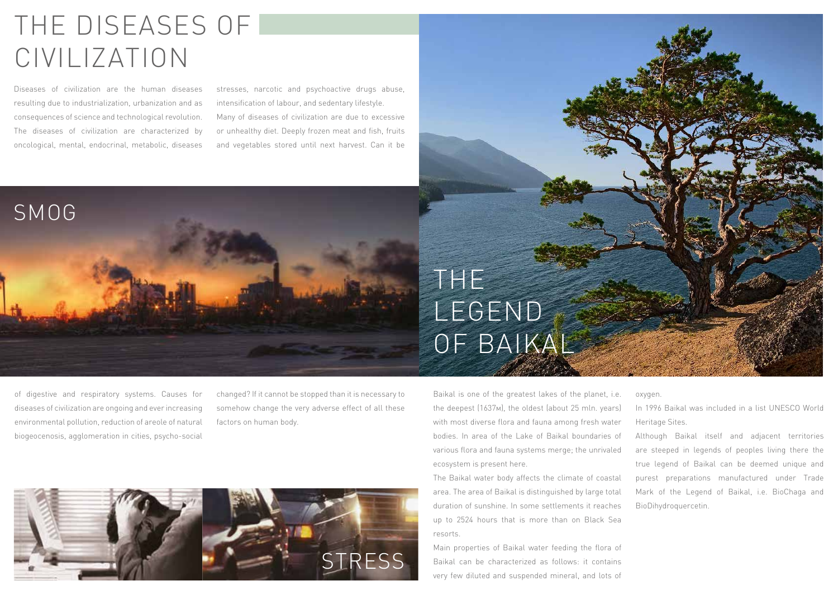# THE DISEASES OF CIVILIZATION

Diseases of civilization are the human diseases resulting due to industrialization, urbanization and as consequences of science and technological revolution. The diseases of civilization are characterized by oncological, mental, endocrinal, metabolic, diseases

SMOG

stresses, narcotic and psychoactive drugs abuse, intensification of labour, and sedentary lifestyle. Many of diseases of civilization are due to excessive or unhealthy diet. Deeply frozen meat and fish, fruits and vegetables stored until next harvest. Can it be

# THE LEGEND OF BAIKAL

of digestive and respiratory systems. Causes for diseases of civilization are ongoing and ever increasing environmental pollution, reduction of areole of natural biogeocenosis, agglomeration in cities, psycho-social

changed? If it cannot be stopped than it is necessary to somehow change the very adverse effect of all these factors on human body.



Baikal is one of the greatest lakes of the planet, i.e. the deepest (1637м), the oldest (about 25 mln. years) with most diverse flora and fauna among fresh water bodies. In area of the Lake of Baikal boundaries of various flora and fauna systems merge; the unrivaled ecosystem is present here.

The Baikal water body affects the climate of coastal area. The area of Baikal is distinguished by large total duration of sunshine. In some settlements it reaches up to 2524 hours that is more than on Black Sea resorts.

Main properties of Baikal water feeding the flora of Baikal can be characterized as follows: it contains very few diluted and suspended mineral, and lots of oxygen.

In 1996 Baikal was included in a list UNESCO World Heritage Sites.

Although Baikal itself and adjacent territories are steeped in legends of peoples living there the true legend of Baikal can be deemed unique and purest preparations manufactured under Trade Mark of the Legend of Baikal, i.e. BioChaga and BioDihydroquercetin.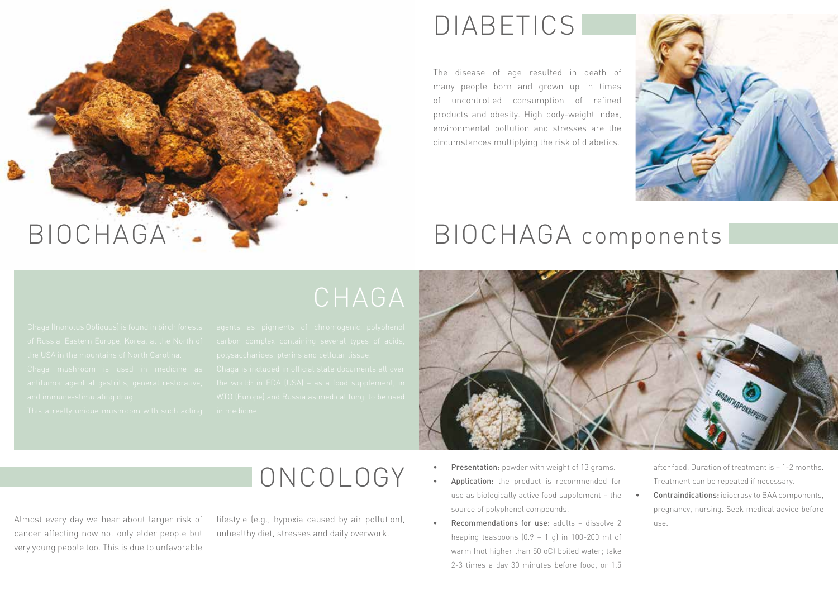

#### DIABETICS

The disease of age resulted in death of many people born and grown up in times of uncontrolled consumption of refined products and obesity. High body-weight index, environmental pollution and stresses are the circumstances multiplying the risk of diabetics.





#### ONCOLOGY

Almost every day we hear about larger risk of cancer affecting now not only elder people but very young people too. This is due to unfavorable lifestyle (e.g., hypoxia caused by air pollution), unhealthy diet, stresses and daily overwork.

- Presentation: powder with weight of 13 grams.
- Application: the product is recommended for use as biologically active food supplement – the source of polyphenol compounds.
- **Recommendations for use:** adults  $-$  dissolve 2 heaping teaspoons  $(0.9 - 1)$  g) in 100-200 ml of warm (not higher than 50 oС) boiled water; take 2-3 times a day 30 minutes before food, or 1.5

after food. Duration of treatment is – 1-2 months. Treatment can be repeated if necessary. Contraindications: idiocrasy to BAA components,

pregnancy, nursing. Seek medical advice before use.